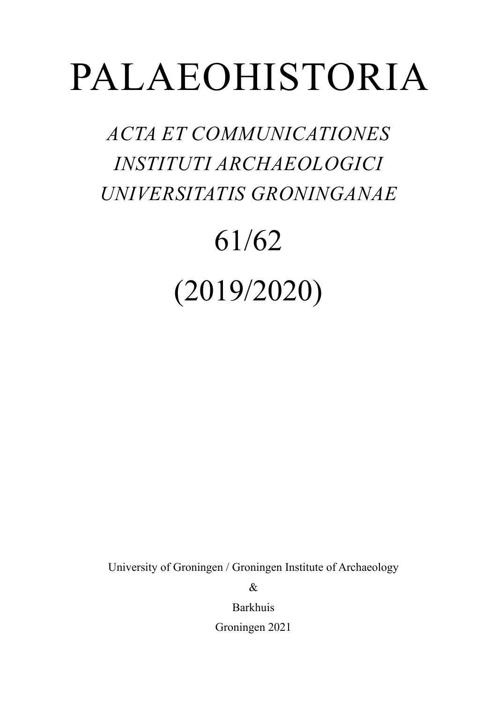## PALAEOHISTORIA

*ACTA ET COMMUNICATIONES INSTITUTI ARCHAEOLOGICI UNIVERSITATIS GRONINGANAE*

## 61/62 (2019/2020)

University of Groningen / Groningen Institute of Archaeology

 $\mathcal{R}_{\mathcal{L}}$ 

Barkhuis

Groningen 2021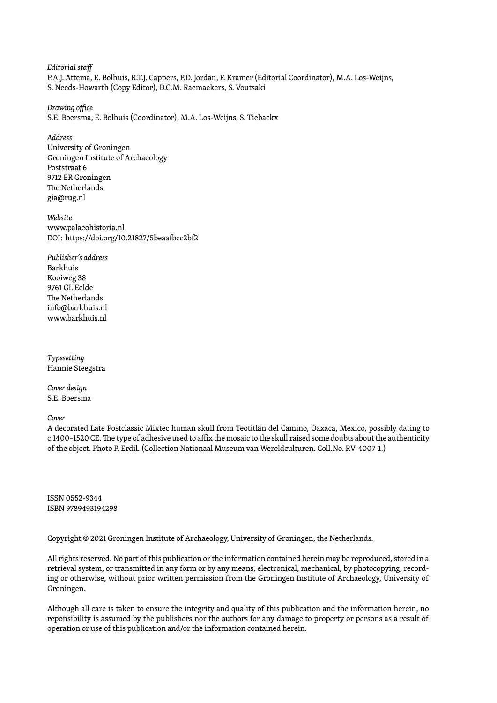*Editorial staff* P.A.J. Attema, E. Bolhuis, R.T.J. Cappers, P.D. Jordan, F. Kramer (Editorial Coordinator), M.A. Los-Weijns, S. Needs-Howarth (Copy Editor), D.C.M. Raemaekers, S. Voutsaki

*Drawing office* S.E. Boersma, E. Bolhuis (Coordinator), M.A. Los-Weijns, S. Tiebackx

*Address* University of Groningen Groningen Institute of Archaeology Poststraat 6 9712 ER Groningen The Netherlands gia@rug.nl

*Website* www.palaeohistoria.nl DOI: https://doi.org/10.21827/5beaafbcc2bf2

*Publisher's address* Barkhuis Kooiweg 38 9761 GL Eelde The Netherlands info@barkhuis.nl www.barkhuis.nl

*Typesetting* Hannie Steegstra

*Cover design* S.E. Boersma

*Cover*

A decorated Late Postclassic Mixtec human skull from Teotitlán del Camino, Oaxaca, Mexico, possibly dating to c.1400–1520 CE. The type of adhesive used to affix the mosaic to the skull raised some doubts about the authenticity of the object. Photo P. Erdil. (Collection Nationaal Museum van Wereldculturen. Coll.No. RV-4007-1.)

ISSN 0552-9344 ISBN 9789493194298

Copyright © 2021 Groningen Institute of Archaeology, University of Groningen, the Netherlands.

All rights reserved. No part of this publication or the information contained herein may be reproduced, stored in a retrieval system, or transmitted in any form or by any means, electronical, mechanical, by photocopying, recording or otherwise, without prior written permission from the Groningen Institute of Archaeology, University of Groningen.

Although all care is taken to ensure the integrity and quality of this publication and the information herein, no reponsibility is assumed by the publishers nor the authors for any damage to property or persons as a result of operation or use of this publication and/or the information contained herein.